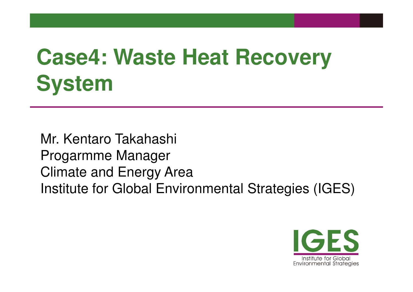# **Case4: Waste Heat Recovery System**

Mr. Kentaro Takahashi<br>-Progarmme ManagerClimate and Energy AreaInstitute for Global Environmental Strategies (IGES)

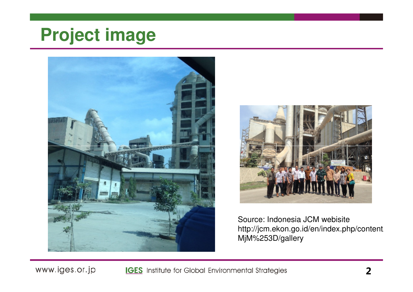#### **Project image**





Source: Indonesia JCM webisite http://jcm.ekon.go.id/en/index.php/content/MjM%253D/gallery

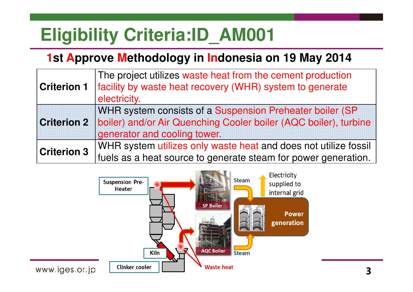### **Eligibility Criteria:ID\_AM001**

#### **1st Approve Methodology in Indonesia on 19 May 2014**

| <b>Criterion 1</b> | The project utilizes waste heat from the cement production       |
|--------------------|------------------------------------------------------------------|
|                    | facility by waste heat recovery (WHR) system to generate         |
|                    | electricity.                                                     |
| <b>Criterion 2</b> | WHR system consists of a Suspension Preheater boiler (SP)        |
|                    | boiler) and/or Air Quenching Cooler boiler (AQC boiler), turbine |
|                    | generator and cooling tower.                                     |
| <b>Criterion 3</b> | WHR system utilizes only waste heat and does not utilize fossil  |
|                    | fuels as a heat source to generate steam for power generation.   |

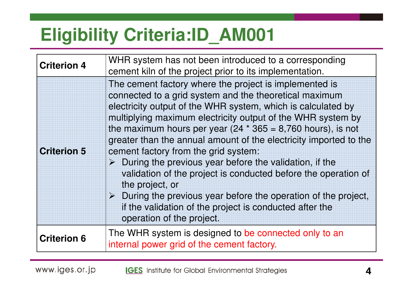## **Eligibility Criteria:ID\_AM001**

| <b>Criterion 4</b> | WHR system has not been introduced to a corresponding<br>cement kiln of the project prior to its implementation.                                                                                                                                                                                                                                                                                                                                                                                                                                                                                                                                                                                                                                                        |
|--------------------|-------------------------------------------------------------------------------------------------------------------------------------------------------------------------------------------------------------------------------------------------------------------------------------------------------------------------------------------------------------------------------------------------------------------------------------------------------------------------------------------------------------------------------------------------------------------------------------------------------------------------------------------------------------------------------------------------------------------------------------------------------------------------|
| <b>Criterion 5</b> | The cement factory where the project is implemented is<br>connected to a grid system and the theoretical maximum<br>electricity output of the WHR system, which is calculated by<br>multiplying maximum electricity output of the WHR system by<br>the maximum hours per year (24 $*$ 365 = 8,760 hours), is not<br>greater than the annual amount of the electricity imported to the<br>cement factory from the grid system:<br>$\triangleright$ During the previous year before the validation, if the<br>validation of the project is conducted before the operation of<br>the project, or<br>$\triangleright$ During the previous year before the operation of the project,<br>if the validation of the project is conducted after the<br>operation of the project. |
| <b>Criterion 6</b> | The WHR system is designed to be connected only to an<br>internal power grid of the cement factory.                                                                                                                                                                                                                                                                                                                                                                                                                                                                                                                                                                                                                                                                     |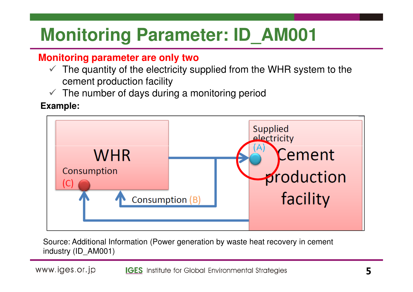### **Monitoring Parameter: ID\_AM001**

#### **Monitoring parameter are only two**

- $\checkmark$  The quantity of the electricity supplied from the WHR system to the sement preduction foollity. cement production facility
- $\checkmark$ The number of days during a monitoring period

#### **Example:**



Source: Additional Information (Power generation by waste heat recovery in cement industry (ID\_AM001)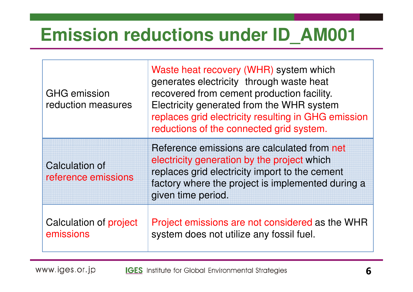#### **Emission reductions under ID\_AM001**

| <b>GHG emission</b><br>reduction measures    | Waste heat recovery (WHR) system which<br>generates electricity through waste heat<br>recovered from cement production facility.<br>Electricity generated from the WHR system<br>replaces grid electricity resulting in GHG emission<br>reductions of the connected grid system. |
|----------------------------------------------|----------------------------------------------------------------------------------------------------------------------------------------------------------------------------------------------------------------------------------------------------------------------------------|
| <b>Calculation of</b><br>reference emissions | Reference emissions are calculated from net<br>electricity generation by the project which<br>replaces grid electricity import to the cement<br>factory where the project is implemented during a<br>given time period.                                                          |
| Calculation of project<br>emissions          | Project emissions are not considered as the WHR<br>system does not utilize any fossil fuel.                                                                                                                                                                                      |